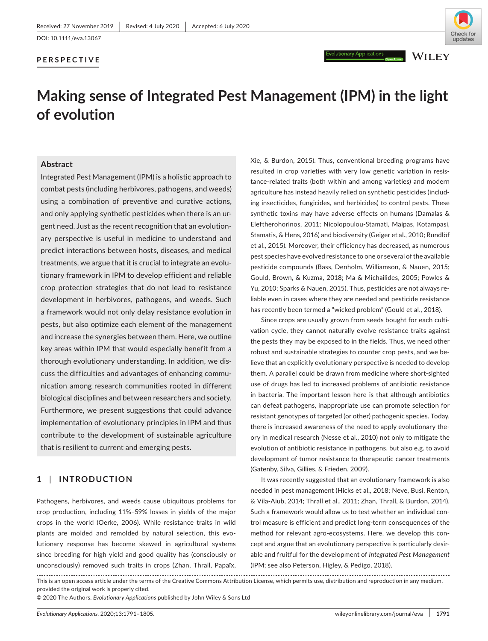### **PERSPECTIVE**



**WILEY** 

# **Making sense of Integrated Pest Management (IPM) in the light of evolution**

#### **Abstract**

Integrated Pest Management (IPM) is a holistic approach to combat pests (including herbivores, pathogens, and weeds) using a combination of preventive and curative actions, and only applying synthetic pesticides when there is an urgent need. Just as the recent recognition that an evolutionary perspective is useful in medicine to understand and predict interactions between hosts, diseases, and medical treatments, we argue that it is crucial to integrate an evolutionary framework in IPM to develop efficient and reliable crop protection strategies that do not lead to resistance development in herbivores, pathogens, and weeds. Such a framework would not only delay resistance evolution in pests, but also optimize each element of the management and increase the synergies between them. Here, we outline key areas within IPM that would especially benefit from a thorough evolutionary understanding. In addition, we discuss the difficulties and advantages of enhancing communication among research communities rooted in different biological disciplines and between researchers and society. Furthermore, we present suggestions that could advance implementation of evolutionary principles in IPM and thus contribute to the development of sustainable agriculture that is resilient to current and emerging pests.

# **1** | **INTRODUCTION**

Pathogens, herbivores, and weeds cause ubiquitous problems for crop production, including 11%–59% losses in yields of the major crops in the world (Oerke, 2006). While resistance traits in wild plants are molded and remolded by natural selection, this evolutionary response has become skewed in agricultural systems since breeding for high yield and good quality has (consciously or unconsciously) removed such traits in crops (Zhan, Thrall, Papaïx, Xie, & Burdon, 2015). Thus, conventional breeding programs have resulted in crop varieties with very low genetic variation in resistance-related traits (both within and among varieties) and modern agriculture has instead heavily relied on synthetic pesticides (including insecticides, fungicides, and herbicides) to control pests. These synthetic toxins may have adverse effects on humans (Damalas & Eleftherohorinos, 2011; Nicolopoulou-Stamati, Maipas, Kotampasi, Stamatis, & Hens, 2016) and biodiversity (Geiger et al., 2010; Rundlöf et al., 2015). Moreover, their efficiency has decreased, as numerous pest species have evolved resistance to one or several of the available pesticide compounds (Bass, Denholm, Williamson, & Nauen, 2015; Gould, Brown, & Kuzma, 2018; Ma & Michailides, 2005; Powles & Yu, 2010; Sparks & Nauen, 2015). Thus, pesticides are not always reliable even in cases where they are needed and pesticide resistance has recently been termed a "wicked problem" (Gould et al., 2018).

Since crops are usually grown from seeds bought for each cultivation cycle, they cannot naturally evolve resistance traits against the pests they may be exposed to in the fields. Thus, we need other robust and sustainable strategies to counter crop pests, and we believe that an explicitly evolutionary perspective is needed to develop them. A parallel could be drawn from medicine where short-sighted use of drugs has led to increased problems of antibiotic resistance in bacteria. The important lesson here is that although antibiotics can defeat pathogens, inappropriate use can promote selection for resistant genotypes of targeted (or other) pathogenic species. Today, there is increased awareness of the need to apply evolutionary theory in medical research (Nesse et al., 2010) not only to mitigate the evolution of antibiotic resistance in pathogens, but also e.g. to avoid development of tumor resistance to therapeutic cancer treatments (Gatenby, Silva, Gillies, & Frieden, 2009).

It was recently suggested that an evolutionary framework is also needed in pest management (Hicks et al., 2018; Neve, Busi, Renton, & Vila-Aiub, 2014; Thrall et al., 2011; Zhan, Thrall, & Burdon, 2014). Such a framework would allow us to test whether an individual control measure is efficient and predict long-term consequences of the method for relevant agro-ecosystems. Here, we develop this concept and argue that an evolutionary perspective is particularly desirable and fruitful for the development of *Integrated Pest Management* (IPM; see also Peterson, Higley, & Pedigo, 2018).

This is an open access article under the terms of the [Creative Commons Attribution](http://creativecommons.org/licenses/by/4.0/) License, which permits use, distribution and reproduction in any medium, provided the original work is properly cited.

© 2020 The Authors. *Evolutionary Applications* published by John Wiley & Sons Ltd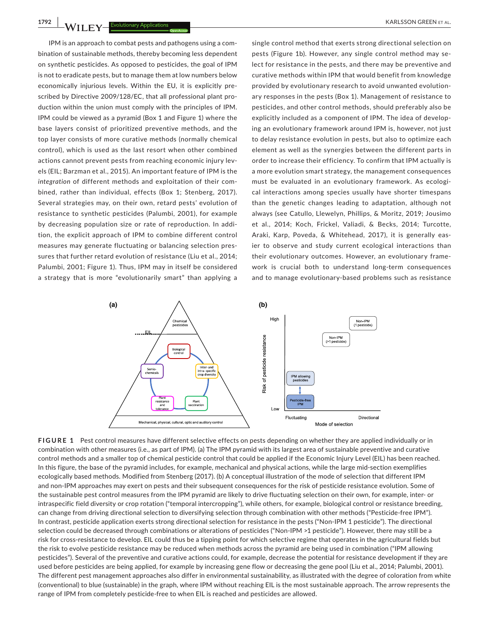IPM is an approach to combat pests and pathogens using a combination of sustainable methods, thereby becoming less dependent on synthetic pesticides. As opposed to pesticides, the goal of IPM is not to eradicate pests, but to manage them at low numbers below economically injurious levels. Within the EU, it is explicitly prescribed by Directive 2009/128/EC, that all professional plant production within the union must comply with the principles of IPM. IPM could be viewed as a pyramid (Box 1 and Figure 1) where the base layers consist of prioritized preventive methods, and the top layer consists of more curative methods (normally chemical control), which is used as the last resort when other combined actions cannot prevent pests from reaching economic injury levels (EIL; Barzman et al., 2015). An important feature of IPM is the *integration* of different methods and exploitation of their combined, rather than individual, effects (Box 1; Stenberg, 2017). Several strategies may, on their own, retard pests' evolution of resistance to synthetic pesticides (Palumbi, 2001), for example by decreasing population size or rate of reproduction. In addition, the explicit approach of IPM to combine different control measures may generate fluctuating or balancing selection pressures that further retard evolution of resistance (Liu et al., 2014; Palumbi, 2001; Figure 1). Thus, IPM may in itself be considered a strategy that is more "evolutionarily smart" than applying a

single control method that exerts strong directional selection on pests (Figure 1b). However, any single control method may select for resistance in the pests, and there may be preventive and curative methods within IPM that would benefit from knowledge provided by evolutionary research to avoid unwanted evolutionary responses in the pests (Box 1). Management of resistance to pesticides, and other control methods, should preferably also be explicitly included as a component of IPM. The idea of developing an evolutionary framework around IPM is, however, not just to delay resistance evolution in pests, but also to optimize each element as well as the synergies between the different parts in order to increase their efficiency. To confirm that IPM actually is a more evolution smart strategy, the management consequences must be evaluated in an evolutionary framework. As ecological interactions among species usually have shorter timespans than the genetic changes leading to adaptation, although not always (see Catullo, Llewelyn, Phillips, & Moritz, 2019; Jousimo et al., 2014; Koch, Frickel, Valiadi, & Becks, 2014; Turcotte, Araki, Karp, Poveda, & Whitehead, 2017), it is generally easier to observe and study current ecological interactions than their evolutionary outcomes. However, an evolutionary framework is crucial both to understand long-term consequences and to manage evolutionary-based problems such as resistance



**FIGURE 1** Pest control measures have different selective effects on pests depending on whether they are applied individually or in combination with other measures (i.e., as part of IPM). (a) The IPM pyramid with its largest area of sustainable preventive and curative control methods and a smaller top of chemical pesticide control that could be applied if the Economic Injury Level (EIL) has been reached. In this figure, the base of the pyramid includes, for example, mechanical and physical actions, while the large mid-section exemplifies ecologically based methods. Modified from Stenberg (2017). (b) A conceptual illustration of the mode of selection that different IPM and non-IPM approaches may exert on pests and their subsequent consequences for the risk of pesticide resistance evolution. Some of the sustainable pest control measures from the IPM pyramid are likely to drive fluctuating selection on their own, for example, inter- or intraspecific field diversity or crop rotation ("temporal intercropping"), while others, for example, biological control or resistance breeding, can change from driving directional selection to diversifying selection through combination with other methods ("Pesticide-free IPM"). In contrast, pesticide application exerts strong directional selection for resistance in the pests ("Non‐IPM 1 pesticide"). The directional selection could be decreased through combinations or alterations of pesticides ("Non-IPM >1 pesticide"). However, there may still be a risk for cross-resistance to develop. EIL could thus be a tipping point for which selective regime that operates in the agricultural fields but the risk to evolve pesticide resistance may be reduced when methods across the pyramid are being used in combination ("IPM allowing pesticides"). Several of the preventive and curative actions could, for example, decrease the potential for resistance development if they are used before pesticides are being applied, for example by increasing gene flow or decreasing the gene pool (Liu et al., 2014; Palumbi, 2001). The different pest management approaches also differ in environmental sustainability, as illustrated with the degree of coloration from white (conventional) to blue (sustainable) in the graph, where IPM without reaching EIL is the most sustainable approach. The arrow represents the range of IPM from completely pesticide-free to when EIL is reached and pesticides are allowed.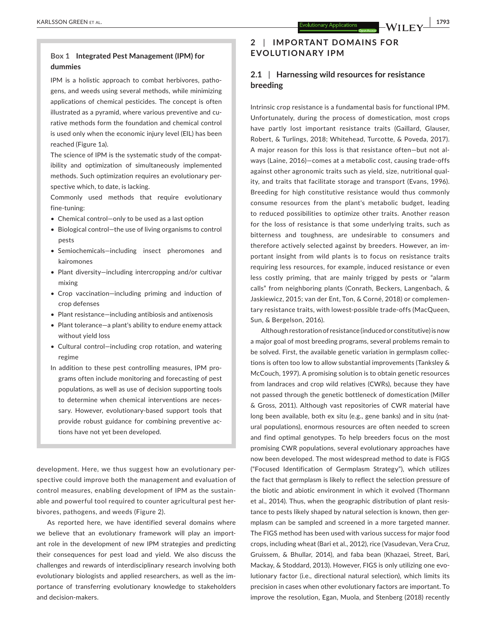## **Box 1 Integrated Pest Management (IPM) for dummies**

IPM is a holistic approach to combat herbivores, pathogens, and weeds using several methods, while minimizing applications of chemical pesticides. The concept is often illustrated as a pyramid, where various preventive and curative methods form the foundation and chemical control is used only when the economic injury level (EIL) has been reached (Figure 1a).

The science of IPM is the systematic study of the compatibility and optimization of simultaneously implemented methods. Such optimization requires an evolutionary perspective which, to date, is lacking.

Commonly used methods that require evolutionary fine-tuning:

- Chemical control—only to be used as a last option
- Biological control—the use of living organisms to control pests
- Semiochemicals—including insect pheromones and kairomones
- Plant diversity—including intercropping and/or cultivar mixing
- Crop vaccination—including priming and induction of crop defenses
- Plant resistance—including antibiosis and antixenosis
- Plant tolerance—a plant's ability to endure enemy attack without yield loss
- Cultural control—including crop rotation, and watering regime
- In addition to these pest controlling measures, IPM programs often include monitoring and forecasting of pest populations, as well as use of decision supporting tools to determine when chemical interventions are necessary. However, evolutionary-based support tools that provide robust guidance for combining preventive actions have not yet been developed.

development. Here, we thus suggest how an evolutionary perspective could improve both the management and evaluation of control measures, enabling development of IPM as the sustainable and powerful tool required to counter agricultural pest herbivores, pathogens, and weeds (Figure 2).

As reported here, we have identified several domains where we believe that an evolutionary framework will play an important role in the development of new IPM strategies and predicting their consequences for pest load and yield. We also discuss the challenges and rewards of interdisciplinary research involving both evolutionary biologists and applied researchers, as well as the importance of transferring evolutionary knowledge to stakeholders and decision-makers.

# **2** | **IMPORTANT DOMAINS FOR EVOLUTIONARY IPM**

# **2.1** | **Harnessing wild resources for resistance breeding**

Intrinsic crop resistance is a fundamental basis for functional IPM. Unfortunately, during the process of domestication, most crops have partly lost important resistance traits (Gaillard, Glauser, Robert, & Turlings, 2018; Whitehead, Turcotte, & Poveda, 2017). A major reason for this loss is that resistance often—but not always (Laine, 2016)—comes at a metabolic cost, causing trade-offs against other agronomic traits such as yield, size, nutritional quality, and traits that facilitate storage and transport (Evans, 1996). Breeding for high constitutive resistance would thus commonly consume resources from the plant's metabolic budget, leading to reduced possibilities to optimize other traits. Another reason for the loss of resistance is that some underlying traits, such as bitterness and toughness, are undesirable to consumers and therefore actively selected against by breeders. However, an important insight from wild plants is to focus on resistance traits requiring less resources, for example, induced resistance or even less costly priming, that are mainly trigged by pests or "alarm calls" from neighboring plants (Conrath, Beckers, Langenbach, & Jaskiewicz, 2015; van der Ent, Ton, & Corné, 2018) or complementary resistance traits, with lowest-possible trade-offs (MacQueen, Sun, & Bergelson, 2016).

Although restoration of resistance (induced or constitutive) is now a major goal of most breeding programs, several problems remain to be solved. First, the available genetic variation in germplasm collections is often too low to allow substantial improvements (Tanksley & McCouch, 1997). A promising solution is to obtain genetic resources from landraces and crop wild relatives (CWRs), because they have not passed through the genetic bottleneck of domestication (Miller & Gross, 2011). Although vast repositories of CWR material have long been available, both ex situ (e.g., gene banks) and in situ (natural populations), enormous resources are often needed to screen and find optimal genotypes. To help breeders focus on the most promising CWR populations, several evolutionary approaches have now been developed. The most widespread method to date is FIGS ("Focused Identification of Germplasm Strategy"), which utilizes the fact that germplasm is likely to reflect the selection pressure of the biotic and abiotic environment in which it evolved (Thormann et al., 2014). Thus, when the geographic distribution of plant resistance to pests likely shaped by natural selection is known, then germplasm can be sampled and screened in a more targeted manner. The FIGS method has been used with various success for major food crops, including wheat (Bari et al., 2012), rice (Vasudevan, Vera Cruz, Gruissem, & Bhullar, 2014), and faba bean (Khazaei, Street, Bari, Mackay, & Stoddard, 2013). However, FIGS is only utilizing one evolutionary factor (i.e., directional natural selection), which limits its precision in cases when other evolutionary factors are important. To improve the resolution, Egan, Muola, and Stenberg (2018) recently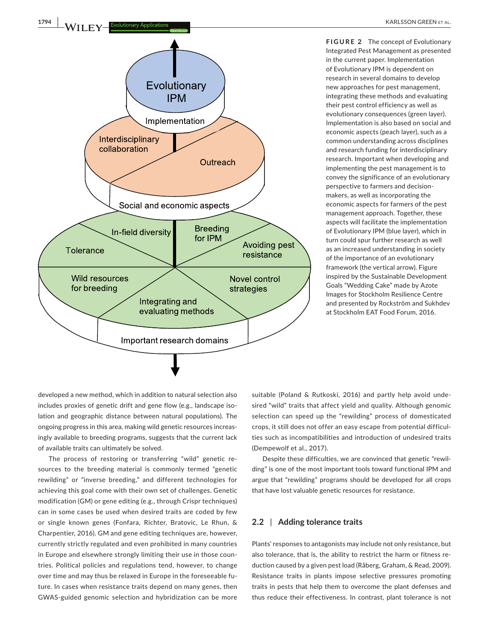

**FIGURE 2** The concept of Evolutionary Integrated Pest Management as presented in the current paper. Implementation of Evolutionary IPM is dependent on research in several domains to develop new approaches for pest management, integrating these methods and evaluating their pest control efficiency as well as evolutionary consequences (green layer). Implementation is also based on social and economic aspects (peach layer), such as a common understanding across disciplines and research funding for interdisciplinary research. Important when developing and implementing the pest management is to convey the significance of an evolutionary perspective to farmers and decisionmakers, as well as incorporating the economic aspects for farmers of the pest management approach. Together, these aspects will facilitate the implementation of Evolutionary IPM (blue layer), which in turn could spur further research as well as an increased understanding in society of the importance of an evolutionary framework (the vertical arrow). Figure inspired by the Sustainable Development Goals "Wedding Cake" made by Azote Images for Stockholm Resilience Centre and presented by Rockström and Sukhdev at Stockholm EAT Food Forum, 2016.

developed a new method, which in addition to natural selection also includes proxies of genetic drift and gene flow (e.g., landscape isolation and geographic distance between natural populations). The ongoing progress in this area, making wild genetic resources increasingly available to breeding programs, suggests that the current lack of available traits can ultimately be solved.

The process of restoring or transferring "wild" genetic resources to the breeding material is commonly termed "genetic rewilding" or "inverse breeding," and different technologies for achieving this goal come with their own set of challenges. Genetic modification (GM) or gene editing (e.g., through Crispr techniques) can in some cases be used when desired traits are coded by few or single known genes (Fonfara, Richter, Bratovic, Le Rhun, & Charpentier, 2016). GM and gene editing techniques are, however, currently strictly regulated and even prohibited in many countries in Europe and elsewhere strongly limiting their use in those countries. Political policies and regulations tend, however, to change over time and may thus be relaxed in Europe in the foreseeable future. In cases when resistance traits depend on many genes, then GWAS-guided genomic selection and hybridization can be more

suitable (Poland & Rutkoski, 2016) and partly help avoid undesired "wild" traits that affect yield and quality. Although genomic selection can speed up the "rewilding" process of domesticated crops, it still does not offer an easy escape from potential difficulties such as incompatibilities and introduction of undesired traits (Dempewolf et al., 2017).

Despite these difficulties, we are convinced that genetic "rewilding" is one of the most important tools toward functional IPM and argue that "rewilding" programs should be developed for all crops that have lost valuable genetic resources for resistance.

#### **2.2** | **Adding tolerance traits**

Plants' responses to antagonists may include not only resistance, but also tolerance, that is, the ability to restrict the harm or fitness reduction caused by a given pest load (Råberg, Graham, & Read, 2009). Resistance traits in plants impose selective pressures promoting traits in pests that help them to overcome the plant defenses and thus reduce their effectiveness. In contrast, plant tolerance is not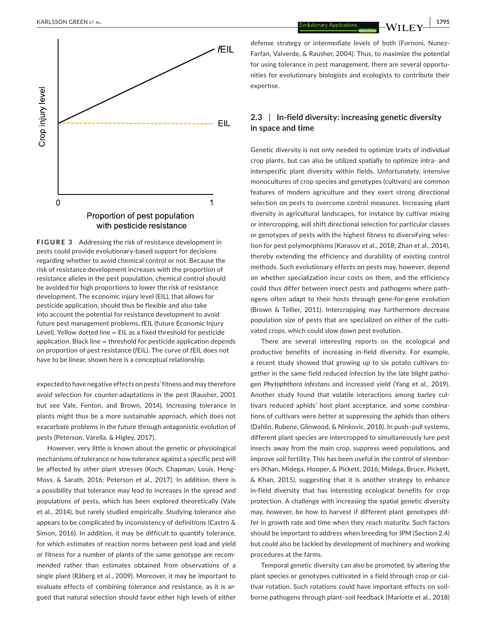

**FIGURE 3** Addressing the risk of resistance development in pests could provide evolutionary-based support for decisions regarding whether to avoid chemical control or not. Because the risk of resistance development increases with the proportion of resistance alleles in the pest population, chemical control should be avoided for high proportions to lower the risk of resistance development. The economic injury level (EIL), that allows for pesticide application, should thus be flexible and also take into account the potential for resistance development to avoid future pest management problems, *f*EIL (future Economic Injury Level). Yellow dotted line = EIL as a fixed threshold for pesticide application. Black line  $=$  threshold for pesticide application depends on proportion of pest resistance (*f*EIL). The curve of *f*EIL does not have to be linear, shown here is a conceptual relationship.

expected to have negative effects on pests' fitness and may therefore avoid selection for counter-adaptations in the pest (Rausher, 2001 but see Vale, Fenton, and Brown, 2014). Increasing tolerance in plants might thus be a more sustainable approach, which does not exacerbate problems in the future through antagonistic evolution of pests (Peterson, Varella, & Higley, 2017).

However, very little is known about the genetic or physiological mechanisms of tolerance or how tolerance against a specific pest will be affected by other plant stresses (Koch, Chapman, Louis, Heng-Moss, & Sarath, 2016; Peterson et al., 2017). In addition, there is a possibility that tolerance may lead to increases in the spread and populations of pests, which has been explored theoretically (Vale et al., 2014), but rarely studied empirically. Studying tolerance also appears to be complicated by inconsistency of definitions (Castro & Simon, 2016). In addition, it may be difficult to quantify tolerance, for which estimates of reaction norms between pest load and yield or fitness for a number of plants of the same genotype are recommended rather than estimates obtained from observations of a single plant (Råberg et al., 2009). Moreover, it may be important to evaluate effects of combining tolerance and resistance, as it is argued that natural selection should favor either high levels of either

defense strategy or intermediate levels of both (Fornoni, Nunez-Farfan, Valverde, & Rausher, 2004). Thus, to maximize the potential for using tolerance in pest management, there are several opportunities for evolutionary biologists and ecologists to contribute their expertise.

# **2.3** | **In-field diversity: increasing genetic diversity in space and time**

Genetic diversity is not only needed to optimize traits of individual crop plants, but can also be utilized spatially to optimize intra- and interspecific plant diversity within fields. Unfortunately, intensive monocultures of crop species and genotypes (cultivars) are common features of modern agriculture and they exert strong directional selection on pests to overcome control measures. Increasing plant diversity in agricultural landscapes, for instance by cultivar mixing or intercropping, will shift directional selection for particular classes or genotypes of pests with the highest fitness to diversifying selection for pest polymorphisms (Karasov et al., 2018; Zhan et al., 2014), thereby extending the efficiency and durability of existing control methods. Such evolutionary effects on pests may, however, depend on whether specialization incur costs on them, and the efficiency could thus differ between insect pests and pathogens where pathogens often adapt to their hosts through gene-for-gene evolution (Brown & Tellier, 2011). Intercropping may furthermore decrease population size of pests that are specialized on either of the cultivated crops, which could slow down pest evolution.

There are several interesting reports on the ecological and productive benefits of increasing in-field diversity. For example, a recent study showed that growing up to six potato cultivars together in the same field reduced infection by the late blight pathogen *Phytophthora infestans* and increased yield (Yang et al., 2019). Another study found that volatile interactions among barley cultivars reduced aphids' host plant acceptance, and some combinations of cultivars were better at suppressing the aphids than others (Dahlin, Rubene, Glinwood, & Ninkovic, 2018). In push–pull systems, different plant species are intercropped to simultaneously lure pest insects away from the main crop, suppress weed populations, and improve soil fertility. This has been useful in the control of stemborers (Khan, Midega, Hooper, & Pickett, 2016; Midega, Bruce, Pickett, & Khan, 2015), suggesting that it is another strategy to enhance in-field diversity that has interesting ecological benefits for crop protection. A challenge with increasing the spatial genetic diversity may, however, be how to harvest if different plant genotypes differ in growth rate and time when they reach maturity. Such factors should be important to address when breeding for IPM (Section 2.4) but could also be tackled by development of machinery and working procedures at the farms.

Temporal genetic diversity can also be promoted, by altering the plant species or genotypes cultivated in a field through crop or cultivar rotation. Such rotations could have important effects on soilborne pathogens through plant–soil feedback (Mariotte et al., 2018)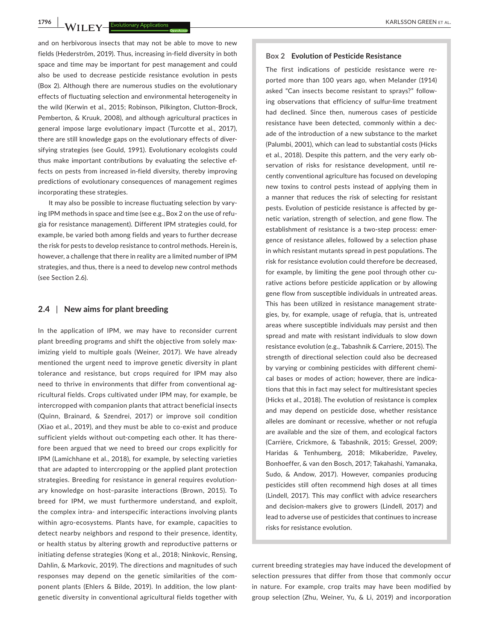and on herbivorous insects that may not be able to move to new fields (Hederström, 2019). Thus, increasing in-field diversity in both space and time may be important for pest management and could also be used to decrease pesticide resistance evolution in pests (Box 2). Although there are numerous studies on the evolutionary effects of fluctuating selection and environmental heterogeneity in the wild (Kerwin et al., 2015; Robinson, Pilkington, Clutton-Brock, Pemberton, & Kruuk, 2008), and although agricultural practices in general impose large evolutionary impact (Turcotte et al., 2017), there are still knowledge gaps on the evolutionary effects of diversifying strategies (see Gould, 1991). Evolutionary ecologists could thus make important contributions by evaluating the selective effects on pests from increased in-field diversity, thereby improving predictions of evolutionary consequences of management regimes incorporating these strategies.

It may also be possible to increase fluctuating selection by varying IPM methods in space and time (see e.g., Box 2 on the use of refugia for resistance management). Different IPM strategies could, for example, be varied both among fields and years to further decrease the risk for pests to develop resistance to control methods. Herein is, however, a challenge that there in reality are a limited number of IPM strategies, and thus, there is a need to develop new control methods (see Section 2.6).

### **2.4** | **New aims for plant breeding**

In the application of IPM, we may have to reconsider current plant breeding programs and shift the objective from solely maximizing yield to multiple goals (Weiner, 2017). We have already mentioned the urgent need to improve genetic diversity in plant tolerance and resistance, but crops required for IPM may also need to thrive in environments that differ from conventional agricultural fields. Crops cultivated under IPM may, for example, be intercropped with companion plants that attract beneficial insects (Quinn, Brainard, & Szendrei, 2017) or improve soil condition (Xiao et al., 2019), and they must be able to co-exist and produce sufficient yields without out-competing each other. It has therefore been argued that we need to breed our crops explicitly for IPM (Lamichhane et al., 2018), for example, by selecting varieties that are adapted to intercropping or the applied plant protection strategies. Breeding for resistance in general requires evolutionary knowledge on host–parasite interactions (Brown, 2015). To breed for IPM, we must furthermore understand, and exploit, the complex intra- and interspecific interactions involving plants within agro-ecosystems. Plants have, for example, capacities to detect nearby neighbors and respond to their presence, identity, or health status by altering growth and reproductive patterns or initiating defense strategies (Kong et al., 2018; Ninkovic, Rensing, Dahlin, & Markovic, 2019). The directions and magnitudes of such responses may depend on the genetic similarities of the component plants (Ehlers & Bilde, 2019). In addition, the low plantgenetic diversity in conventional agricultural fields together with

#### **Box 2 Evolution of Pesticide Resistance**

The first indications of pesticide resistance were reported more than 100 years ago, when Melander (1914) asked "Can insects become resistant to sprays?" following observations that efficiency of sulfur-lime treatment had declined. Since then, numerous cases of pesticide resistance have been detected, commonly within a decade of the introduction of a new substance to the market (Palumbi, 2001), which can lead to substantial costs (Hicks et al., 2018). Despite this pattern, and the very early observation of risks for resistance development, until recently conventional agriculture has focused on developing new toxins to control pests instead of applying them in a manner that reduces the risk of selecting for resistant pests. Evolution of pesticide resistance is affected by genetic variation, strength of selection, and gene flow. The establishment of resistance is a two-step process: emergence of resistance alleles, followed by a selection phase in which resistant mutants spread in pest populations. The risk for resistance evolution could therefore be decreased, for example, by limiting the gene pool through other curative actions before pesticide application or by allowing gene flow from susceptible individuals in untreated areas. This has been utilized in resistance management strategies, by, for example, usage of refugia, that is, untreated areas where susceptible individuals may persist and then spread and mate with resistant individuals to slow down resistance evolution (e.g., Tabashnik & Carriere, 2015). The strength of directional selection could also be decreased by varying or combining pesticides with different chemical bases or modes of action; however, there are indications that this in fact may select for multiresistant species (Hicks et al., 2018). The evolution of resistance is complex and may depend on pesticide dose, whether resistance alleles are dominant or recessive, whether or not refugia are available and the size of them, and ecological factors (Carrière, Crickmore, & Tabashnik, 2015; Gressel, 2009; Haridas & Tenhumberg, 2018; Mikaberidze, Paveley, Bonhoeffer, & van den Bosch, 2017; Takahashi, Yamanaka, Sudo, & Andow, 2017). However, companies producing pesticides still often recommend high doses at all times (Lindell, 2017). This may conflict with advice researchers and decision-makers give to growers (Lindell, 2017) and lead to adverse use of pesticides that continues to increase risks for resistance evolution.

current breeding strategies may have induced the development of selection pressures that differ from those that commonly occur in nature. For example, crop traits may have been modified by group selection (Zhu, Weiner, Yu, & Li, 2019) and incorporation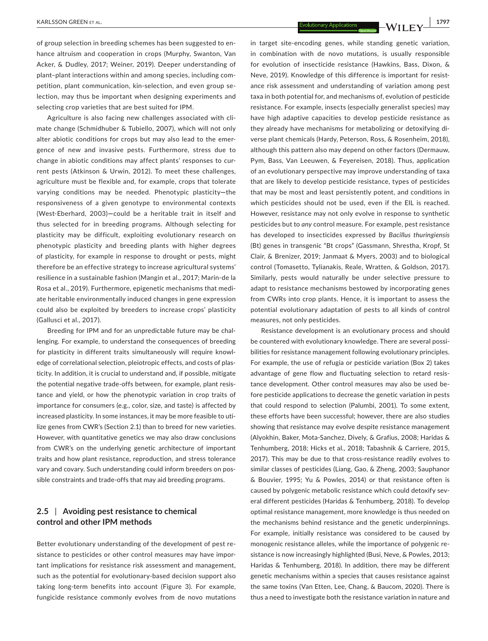of group selection in breeding schemes has been suggested to enhance altruism and cooperation in crops (Murphy, Swanton, Van Acker, & Dudley, 2017; Weiner, 2019). Deeper understanding of plant–plant interactions within and among species, including competition, plant communication, kin-selection, and even group selection, may thus be important when designing experiments and selecting crop varieties that are best suited for IPM.

Agriculture is also facing new challenges associated with climate change (Schmidhuber & Tubiello, 2007), which will not only alter abiotic conditions for crops but may also lead to the emergence of new and invasive pests. Furthermore, stress due to change in abiotic conditions may affect plants' responses to current pests (Atkinson & Urwin, 2012). To meet these challenges, agriculture must be flexible and, for example, crops that tolerate varying conditions may be needed. Phenotypic plasticity**—**the responsiveness of a given genotype to environmental contexts (West-Eberhard, 2003)**—**could be a heritable trait in itself and thus selected for in breeding programs. Although selecting for plasticity may be difficult, exploiting evolutionary research on phenotypic plasticity and breeding plants with higher degrees of plasticity, for example in response to drought or pests, might therefore be an effective strategy to increase agricultural systems' resilience in a sustainable fashion (Mangin et al., 2017; Marin-de la Rosa et al., 2019). Furthermore, epigenetic mechanisms that mediate heritable environmentally induced changes in gene expression could also be exploited by breeders to increase crops' plasticity (Gallusci et al., 2017).

Breeding for IPM and for an unpredictable future may be challenging. For example, to understand the consequences of breeding for plasticity in different traits simultaneously will require knowledge of correlational selection, pleiotropic effects, and costs of plasticity. In addition, it is crucial to understand and, if possible, mitigate the potential negative trade-offs between, for example, plant resistance and yield, or how the phenotypic variation in crop traits of importance for consumers (e.g., color, size, and taste) is affected by increased plasticity. In some instances, it may be more feasible to utilize genes from CWR's (Section 2.1) than to breed for new varieties. However, with quantitative genetics we may also draw conclusions from CWR's on the underlying genetic architecture of important traits and how plant resistance, reproduction, and stress tolerance vary and covary. Such understanding could inform breeders on possible constraints and trade-offs that may aid breeding programs.

# **2.5** | **Avoiding pest resistance to chemical control and other IPM methods**

Better evolutionary understanding of the development of pest resistance to pesticides or other control measures may have important implications for resistance risk assessment and management, such as the potential for evolutionary-based decision support also taking long-term benefits into account (Figure 3). For example, fungicide resistance commonly evolves from de novo mutations

in target site-encoding genes, while standing genetic variation, in combination with de novo mutations, is usually responsible for evolution of insecticide resistance (Hawkins, Bass, Dixon, & Neve, 2019). Knowledge of this difference is important for resistance risk assessment and understanding of variation among pest taxa in both potential for, and mechanisms of, evolution of pesticide resistance. For example, insects (especially generalist species) may have high adaptive capacities to develop pesticide resistance as they already have mechanisms for metabolizing or detoxifying diverse plant chemicals (Hardy, Peterson, Ross, & Rosenheim, 2018), although this pattern also may depend on other factors (Dermauw, Pym, Bass, Van Leeuwen, & Feyereisen, 2018). Thus, application of an evolutionary perspective may improve understanding of taxa that are likely to develop pesticide resistance, types of pesticides that may be most and least persistently potent, and conditions in which pesticides should not be used, even if the EIL is reached. However, resistance may not only evolve in response to synthetic pesticides but to *any* control measure. For example, pest resistance has developed to insecticides expressed by *Bacillus thuringiensis* (Bt) genes in transgenic "Bt crops" (Gassmann, Shrestha, Kropf, St Clair, & Brenizer, 2019; Janmaat & Myers, 2003) and to biological control (Tomasetto, Tylianakis, Reale, Wratten, & Goldson, 2017). Similarly, pests would naturally be under selective pressure to adapt to resistance mechanisms bestowed by incorporating genes from CWRs into crop plants. Hence, it is important to assess the potential evolutionary adaptation of pests to all kinds of control measures, not only pesticides.

Resistance development is an evolutionary process and should be countered with evolutionary knowledge. There are several possibilities for resistance management following evolutionary principles. For example, the use of refugia or pesticide variation (Box 2) takes advantage of gene flow and fluctuating selection to retard resistance development. Other control measures may also be used before pesticide applications to decrease the genetic variation in pests that could respond to selection (Palumbi, 2001). To some extent, these efforts have been successful; however, there are also studies showing that resistance may evolve despite resistance management (Alyokhin, Baker, Mota-Sanchez, Dively, & Grafius, 2008; Haridas & Tenhumberg, 2018; Hicks et al., 2018; Tabashnik & Carriere, 2015, 2017). This may be due to that cross-resistance readily evolves to similar classes of pesticides (Liang, Gao, & Zheng, 2003; Sauphanor & Bouvier, 1995; Yu & Powles, 2014) or that resistance often is caused by polygenic metabolic resistance which could detoxify several different pesticides (Haridas & Tenhumberg, 2018). To develop optimal resistance management, more knowledge is thus needed on the mechanisms behind resistance and the genetic underpinnings. For example, initially resistance was considered to be caused by monogenic resistance alleles, while the importance of polygenic resistance is now increasingly highlighted (Busi, Neve, & Powles, 2013; Haridas & Tenhumberg, 2018). In addition, there may be different genetic mechanisms within a species that causes resistance against the same toxins (Van Etten, Lee, Chang, & Baucom, 2020). There is thus a need to investigate both the resistance variation in nature and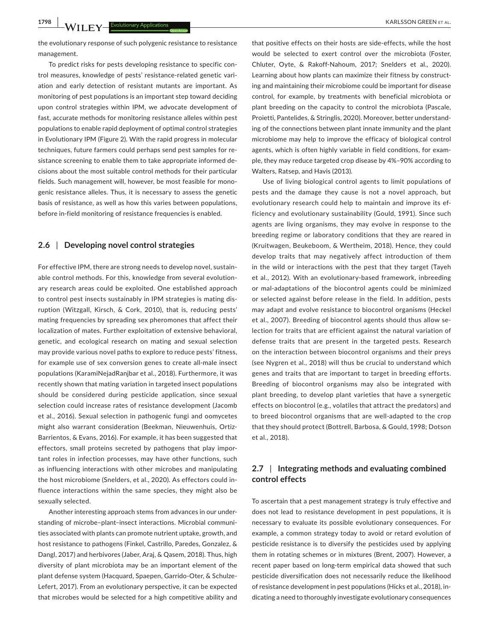**1798 MAIL EVALUATE CONSERVERS ET AL. ARRESSON GREEN ET AL. ARRESSON GREEN ET AL.** 

the evolutionary response of such polygenic resistance to resistance management.

To predict risks for pests developing resistance to specific control measures, knowledge of pests' resistance-related genetic variation and early detection of resistant mutants are important. As monitoring of pest populations is an important step toward deciding upon control strategies within IPM, we advocate development of fast, accurate methods for monitoring resistance alleles within pest populations to enable rapid deployment of optimal control strategies in Evolutionary IPM (Figure 2). With the rapid progress in molecular techniques, future farmers could perhaps send pest samples for resistance screening to enable them to take appropriate informed decisions about the most suitable control methods for their particular fields. Such management will, however, be most feasible for monogenic resistance alleles. Thus, it is necessary to assess the genetic basis of resistance, as well as how this varies between populations, before in-field monitoring of resistance frequencies is enabled.

#### **2.6** | **Developing novel control strategies**

For effective IPM, there are strong needs to develop novel, sustainable control methods. For this, knowledge from several evolutionary research areas could be exploited. One established approach to control pest insects sustainably in IPM strategies is mating disruption (Witzgall, Kirsch, & Cork, 2010), that is, reducing pests' mating frequencies by spreading sex pheromones that affect their localization of mates. Further exploitation of extensive behavioral, genetic, and ecological research on mating and sexual selection may provide various novel paths to explore to reduce pests' fitness, for example use of sex conversion genes to create all-male insect populations (KaramiNejadRanjbar et al., 2018). Furthermore, it was recently shown that mating variation in targeted insect populations should be considered during pesticide application, since sexual selection could increase rates of resistance development (Jacomb et al., 2016). Sexual selection in pathogenic fungi and oomycetes might also warrant consideration (Beekman, Nieuwenhuis, Ortiz-Barrientos, & Evans, 2016). For example, it has been suggested that effectors, small proteins secreted by pathogens that play important roles in infection processes, may have other functions, such as influencing interactions with other microbes and manipulating the host microbiome (Snelders, et al., 2020). As effectors could influence interactions within the same species, they might also be sexually selected.

Another interesting approach stems from advances in our understanding of microbe–plant–insect interactions. Microbial communities associated with plants can promote nutrient uptake, growth, and host resistance to pathogens (Finkel, Castrillo, Paredes, Gonzalez, & Dangl, 2017) and herbivores (Jaber, Araj, & Qasem, 2018). Thus, high diversity of plant microbiota may be an important element of the plant defense system (Hacquard, Spaepen, Garrido-Oter, & Schulze-Lefert, 2017). From an evolutionary perspective, it can be expected that microbes would be selected for a high competitive ability and

that positive effects on their hosts are side-effects, while the host would be selected to exert control over the microbiota (Foster, Chluter, Oyte, & Rakoff-Nahoum, 2017; Snelders et al., 2020). Learning about how plants can maximize their fitness by constructing and maintaining their microbiome could be important for disease control, for example, by treatments with beneficial microbiota or plant breeding on the capacity to control the microbiota (Pascale, Proietti, Pantelides, & Stringlis, 2020). Moreover, better understanding of the connections between plant innate immunity and the plant microbiome may help to improve the efficacy of biological control agents, which is often highly variable in field conditions, for example, they may reduce targeted crop disease by 4%–90% according to Walters, Ratsep, and Havis (2013).

Use of living biological control agents to limit populations of pests and the damage they cause is not a novel approach, but evolutionary research could help to maintain and improve its efficiency and evolutionary sustainability (Gould, 1991). Since such agents are living organisms, they may evolve in response to the breeding regime or laboratory conditions that they are reared in (Kruitwagen, Beukeboom, & Wertheim, 2018). Hence, they could develop traits that may negatively affect introduction of them in the wild or interactions with the pest that they target (Tayeh et al., 2012). With an evolutionary-based framework, inbreeding or mal-adaptations of the biocontrol agents could be minimized or selected against before release in the field. In addition, pests may adapt and evolve resistance to biocontrol organisms (Heckel et al., 2007). Breeding of biocontrol agents should thus allow selection for traits that are efficient against the natural variation of defense traits that are present in the targeted pests. Research on the interaction between biocontrol organisms and their preys (see Nygren et al., 2018) will thus be crucial to understand which genes and traits that are important to target in breeding efforts. Breeding of biocontrol organisms may also be integrated with plant breeding, to develop plant varieties that have a synergetic effects on biocontrol (e.g., volatiles that attract the predators) and to breed biocontrol organisms that are well-adapted to the crop that they should protect (Bottrell, Barbosa, & Gould, 1998; Dotson et al., 2018).

# **2.7** | **Integrating methods and evaluating combined control effects**

To ascertain that a pest management strategy is truly effective and does not lead to resistance development in pest populations, it is necessary to evaluate its possible evolutionary consequences. For example, a common strategy today to avoid or retard evolution of pesticide resistance is to diversify the pesticides used by applying them in rotating schemes or in mixtures (Brent, 2007). However, a recent paper based on long-term empirical data showed that such pesticide diversification does not necessarily reduce the likelihood of resistance development in pest populations (Hicks et al., 2018), indicating a need to thoroughly investigate evolutionary consequences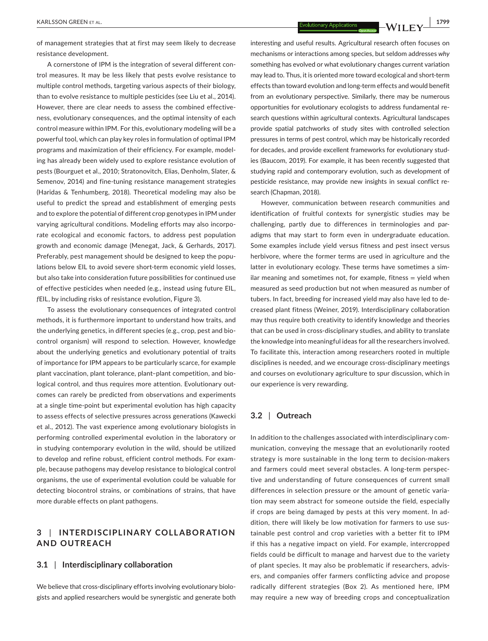of management strategies that at first may seem likely to decrease resistance development.

A cornerstone of IPM is the integration of several different control measures. It may be less likely that pests evolve resistance to multiple control methods, targeting various aspects of their biology, than to evolve resistance to multiple pesticides (see Liu et al., 2014). However, there are clear needs to assess the combined effectiveness, evolutionary consequences, and the optimal intensity of each control measure within IPM. For this, evolutionary modeling will be a powerful tool, which can play key roles in formulation of optimal IPM programs and maximization of their efficiency. For example, modeling has already been widely used to explore resistance evolution of pests (Bourguet et al., 2010; Stratonovitch, Elias, Denholm, Slater, & Semenov, 2014) and fine-tuning resistance management strategies (Haridas & Tenhumberg, 2018). Theoretical modeling may also be useful to predict the spread and establishment of emerging pests and to explore the potential of different crop genotypes in IPM under varying agricultural conditions. Modeling efforts may also incorporate ecological and economic factors, to address pest population growth and economic damage (Menegat, Jack, & Gerhards, 2017). Preferably, pest management should be designed to keep the populations below EIL to avoid severe short-term economic yield losses, but also take into consideration future possibilities for continued use of effective pesticides when needed (e.g., instead using future EIL, *f*EIL, by including risks of resistance evolution, Figure 3).

To assess the evolutionary consequences of integrated control methods, it is furthermore important to understand how traits, and the underlying genetics, in different species (e.g., crop, pest and biocontrol organism) will respond to selection. However, knowledge about the underlying genetics and evolutionary potential of traits of importance for IPM appears to be particularly scarce, for example plant vaccination, plant tolerance, plant–plant competition, and biological control, and thus requires more attention. Evolutionary outcomes can rarely be predicted from observations and experiments at a single time-point but experimental evolution has high capacity to assess effects of selective pressures across generations (Kawecki et al., 2012). The vast experience among evolutionary biologists in performing controlled experimental evolution in the laboratory or in studying contemporary evolution in the wild, should be utilized to develop and refine robust, efficient control methods. For example, because pathogens may develop resistance to biological control organisms, the use of experimental evolution could be valuable for detecting biocontrol strains, or combinations of strains, that have more durable effects on plant pathogens.

# **3** | **INTERDISCIPLINARY COLL ABOR ATION AND OUTREACH**

## **3.1** | **Interdisciplinary collaboration**

We believe that cross-disciplinary efforts involving evolutionary biologists and applied researchers would be synergistic and generate both interesting and useful results. Agricultural research often focuses on mechanisms or interactions among species, but seldom addresses *why* something has evolved or what evolutionary changes current variation may lead to. Thus, it is oriented more toward ecological and short-term effects than toward evolution and long-term effects and would benefit from an evolutionary perspective. Similarly, there may be numerous opportunities for evolutionary ecologists to address fundamental research questions within agricultural contexts. Agricultural landscapes provide spatial patchworks of study sites with controlled selection pressures in terms of pest control, which may be historically recorded for decades, and provide excellent frameworks for evolutionary studies (Baucom, 2019). For example, it has been recently suggested that studying rapid and contemporary evolution, such as development of pesticide resistance, may provide new insights in sexual conflict research (Chapman, 2018).

However, communication between research communities and identification of fruitful contexts for synergistic studies may be challenging, partly due to differences in terminologies and paradigms that may start to form even in undergraduate education. Some examples include yield versus fitness and pest insect versus herbivore, where the former terms are used in agriculture and the latter in evolutionary ecology. These terms have sometimes a similar meaning and sometimes not, for example, fitness  $=$  yield when measured as seed production but not when measured as number of tubers. In fact, breeding for increased yield may also have led to decreased plant fitness (Weiner, 2019). Interdisciplinary collaboration may thus require both creativity to identify knowledge and theories that can be used in cross-disciplinary studies, and ability to translate the knowledge into meaningful ideas for all the researchers involved. To facilitate this, interaction among researchers rooted in multiple disciplines is needed, and we encourage cross-disciplinary meetings and courses on evolutionary agriculture to spur discussion, which in our experience is very rewarding.

#### **3.2** | **Outreach**

In addition to the challenges associated with interdisciplinary communication, conveying the message that an evolutionarily rooted strategy is more sustainable in the long term to decision-makers and farmers could meet several obstacles. A long-term perspective and understanding of future consequences of current small differences in selection pressure or the amount of genetic variation may seem abstract for someone outside the field, especially if crops are being damaged by pests at this very moment. In addition, there will likely be low motivation for farmers to use sustainable pest control and crop varieties with a better fit to IPM if this has a negative impact on yield. For example, intercropped fields could be difficult to manage and harvest due to the variety of plant species. It may also be problematic if researchers, advisers, and companies offer farmers conflicting advice and propose radically different strategies (Box 2). As mentioned here, IPM may require a new way of breeding crops and conceptualization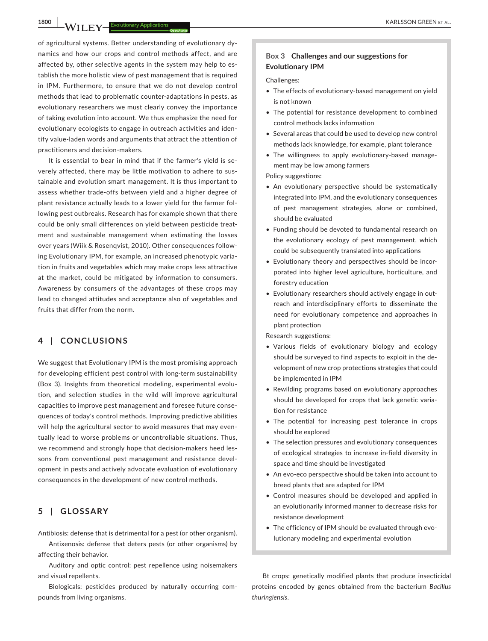of agricultural systems. Better understanding of evolutionary dynamics and how our crops and control methods affect, and are affected by, other selective agents in the system may help to establish the more holistic view of pest management that is required in IPM. Furthermore, to ensure that we do not develop control methods that lead to problematic counter-adaptations in pests, as evolutionary researchers we must clearly convey the importance of taking evolution into account. We thus emphasize the need for evolutionary ecologists to engage in outreach activities and identify value-laden words and arguments that attract the attention of practitioners and decision-makers.

It is essential to bear in mind that if the farmer's yield is severely affected, there may be little motivation to adhere to sustainable and evolution smart management. It is thus important to assess whether trade-offs between yield and a higher degree of plant resistance actually leads to a lower yield for the farmer following pest outbreaks. Research has for example shown that there could be only small differences on yield between pesticide treatment and sustainable management when estimating the losses over years (Wiik & Rosenqvist, 2010). Other consequences following Evolutionary IPM, for example, an increased phenotypic variation in fruits and vegetables which may make crops less attractive at the market, could be mitigated by information to consumers. Awareness by consumers of the advantages of these crops may lead to changed attitudes and acceptance also of vegetables and fruits that differ from the norm.

# **4** | **CONCLUSIONS**

We suggest that Evolutionary IPM is the most promising approach for developing efficient pest control with long-term sustainability (Box 3). Insights from theoretical modeling, experimental evolution, and selection studies in the wild will improve agricultural capacities to improve pest management and foresee future consequences of today's control methods. Improving predictive abilities will help the agricultural sector to avoid measures that may eventually lead to worse problems or uncontrollable situations. Thus, we recommend and strongly hope that decision-makers heed lessons from conventional pest management and resistance development in pests and actively advocate evaluation of evolutionary consequences in the development of new control methods.

# **5** | **GLOSSARY**

Antibiosis: defense that is detrimental for a pest (or other organism).

Antixenosis: defense that deters pests (or other organisms) by affecting their behavior.

Auditory and optic control: pest repellence using noisemakers and visual repellents.

Biologicals: pesticides produced by naturally occurring compounds from living organisms.

#### **Box 3 Challenges and our suggestions for Evolutionary IPM**

Challenges:

- The effects of evolutionary-based management on yield is not known
- The potential for resistance development to combined control methods lacks information
- Several areas that could be used to develop new control methods lack knowledge, for example, plant tolerance
- The willingness to apply evolutionary-based management may be low among farmers

Policy suggestions:

- An evolutionary perspective should be systematically integrated into IPM, and the evolutionary consequences of pest management strategies, alone or combined, should be evaluated
- Funding should be devoted to fundamental research on the evolutionary ecology of pest management, which could be subsequently translated into applications
- Evolutionary theory and perspectives should be incorporated into higher level agriculture, horticulture, and forestry education
- Evolutionary researchers should actively engage in outreach and interdisciplinary efforts to disseminate the need for evolutionary competence and approaches in plant protection

Research suggestions:

- Various fields of evolutionary biology and ecology should be surveyed to find aspects to exploit in the development of new crop protections strategies that could be implemented in IPM
- Rewilding programs based on evolutionary approaches should be developed for crops that lack genetic variation for resistance
- The potential for increasing pest tolerance in crops should be explored
- The selection pressures and evolutionary consequences of ecological strategies to increase in-field diversity in space and time should be investigated
- An evo-eco perspective should be taken into account to breed plants that are adapted for IPM
- Control measures should be developed and applied in an evolutionarily informed manner to decrease risks for resistance development
- The efficiency of IPM should be evaluated through evolutionary modeling and experimental evolution

Bt crops: genetically modified plants that produce insecticidal proteins encoded by genes obtained from the bacterium *Bacillus thuringiensis*.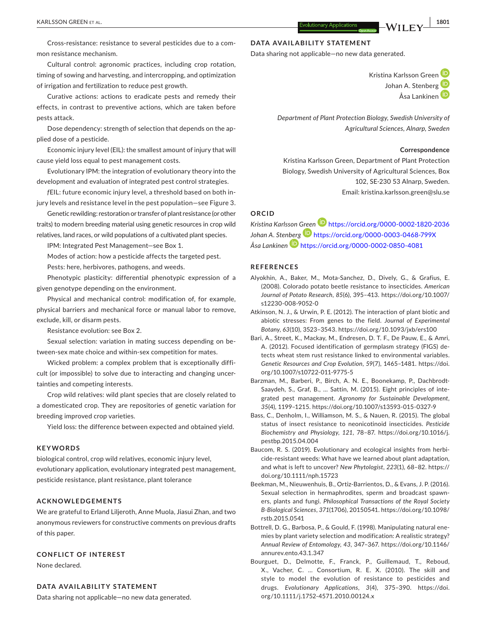Cross-resistance: resistance to several pesticides due to a common resistance mechanism.

Cultural control: agronomic practices, including crop rotation, timing of sowing and harvesting, and intercropping, and optimization of irrigation and fertilization to reduce pest growth.

Curative actions: actions to eradicate pests and remedy their effects, in contrast to preventive actions, which are taken before pests attack.

Dose dependency: strength of selection that depends on the applied dose of a pesticide.

Economic injury level (EIL): the smallest amount of injury that will cause yield loss equal to pest management costs.

Evolutionary IPM: the integration of evolutionary theory into the development and evaluation of integrated pest control strategies.

*f*EIL: future economic injury level, a threshold based on both injury levels and resistance level in the pest population—see Figure 3.

Genetic rewilding: restoration or transfer of plant resistance (or other traits) to modern breeding material using genetic resources in crop wild relatives, land races, or wild populations of a cultivated plant species.

IPM: Integrated Pest Management—see Box 1.

Modes of action: how a pesticide affects the targeted pest.

Pests: here, herbivores, pathogens, and weeds.

Phenotypic plasticity: differential phenotypic expression of a given genotype depending on the environment.

Physical and mechanical control: modification of, for example, physical barriers and mechanical force or manual labor to remove, exclude, kill, or disarm pests.

Resistance evolution: see Box 2.

Sexual selection: variation in mating success depending on between-sex mate choice and within-sex competition for mates.

Wicked problem: a complex problem that is exceptionally difficult (or impossible) to solve due to interacting and changing uncertainties and competing interests.

Crop wild relatives: wild plant species that are closely related to a domesticated crop. They are repositories of genetic variation for breeding improved crop varieties.

Yield loss: the difference between expected and obtained yield.

#### **KEYWORDS**

biological control, crop wild relatives, economic injury level, evolutionary application, evolutionary integrated pest management, pesticide resistance, plant resistance, plant tolerance

### **ACKNOWLEDGEMENTS**

We are grateful to Erland Liljeroth, Anne Muola, Jiasui Zhan, and two anonymous reviewers for constructive comments on previous drafts of this paper.

#### **CONFLICT OF INTEREST**

None declared.

#### **DATA AVAILABILITY STATEMENT**

Data sharing not applicable—no new data generated.

## **DATA AVAILABILITY STATEMENT**

Data sharing not applicable—no new data generated.

Kristina Karlsson Gree[n](https://orcid.org/0000-0002-1820-2036) Johan A. Stenber[g](https://orcid.org/0000-0003-0468-799X)<sup>D</sup>  $Å$ sa La[n](https://orcid.org/0000-0002-0850-4081)kinen $\Box$ 

*Department of Plant Protection Biology, Swedish University of Agricultural Sciences, Alnarp, Sweden*

#### **Correspondence**

Kristina Karlsson Green, Department of Plant Protection Biology, Swedish University of Agricultural Sciences, Box 102, SE-230 53 Alnarp, Sweden. Email: [kristina.karlsson.green@slu.se](mailto:kristina.karlsson.green@slu.se)

# **ORCID**

*Kristina Karlsson [Green](https://orcid.org/0000-0003-0468-799X)* <https://orcid.org/0000-0002-1820-2036> *Johan A. Ste[nberg](https://orcid.org/0000-0002-0850-4081)* <https://orcid.org/0000-0003-0468-799X> *Åsa Lankinen* <https://orcid.org/0000-0002-0850-4081>

#### **REFERENCES**

- Alyokhin, A., Baker, M., Mota-Sanchez, D., Dively, G., & Grafius, E. (2008). Colorado potato beetle resistance to insecticides. *American Journal of Potato Research*, *85*(6), 395–413. [https://doi.org/10.1007/](https://doi.org/10.1007/s12230-008-9052-0) [s12230-008-9052-0](https://doi.org/10.1007/s12230-008-9052-0)
- Atkinson, N. J., & Urwin, P. E. (2012). The interaction of plant biotic and abiotic stresses: From genes to the field. *Journal of Experimental Botany*, *63*(10), 3523–3543.<https://doi.org/10.1093/jxb/ers100>
- Bari, A., Street, K., Mackay, M., Endresen, D. T. F., De Pauw, E., & Amri, A. (2012). Focused identification of germplasm strategy (FIGS) detects wheat stem rust resistance linked to environmental variables. *Genetic Resources and Crop Evolution*, *59*(7), 1465–1481. [https://doi.](https://doi.org/10.1007/s10722-011-9775-5) [org/10.1007/s10722-011-9775-5](https://doi.org/10.1007/s10722-011-9775-5)
- Barzman, M., Barberi, P., Birch, A. N. E., Boonekamp, P., Dachbrodt-Saaydeh, S., Graf, B., … Sattin, M. (2015). Eight principles of integrated pest management. *Agronomy for Sustainable Development*, *35*(4), 1199–1215.<https://doi.org/10.1007/s13593-015-0327-9>
- Bass, C., Denholm, I., Williamson, M. S., & Nauen, R. (2015). The global status of insect resistance to neonicotinoid insecticides. *Pesticide Biochemistry and Physiology*, *121*, 78–87. [https://doi.org/10.1016/j.](https://doi.org/10.1016/j.pestbp.2015.04.004) [pestbp.2015.04.004](https://doi.org/10.1016/j.pestbp.2015.04.004)
- Baucom, R. S. (2019). Evolutionary and ecological insights from herbicide-resistant weeds: What have we learned about plant adaptation, and what is left to uncover? *New Phytologist*, *223*(1), 68–82. [https://](https://doi.org/10.1111/nph.15723) [doi.org/10.1111/nph.15723](https://doi.org/10.1111/nph.15723)
- Beekman, M., Nieuwenhuis, B., Ortiz-Barrientos, D., & Evans, J. P. (2016). Sexual selection in hermaphrodites, sperm and broadcast spawners, plants and fungi. *Philosophical Transactions of the Royal Society B-Biological Sciences*, *371*(1706), 20150541. [https://doi.org/10.1098/](https://doi.org/10.1098/rstb.2015.0541) [rstb.2015.0541](https://doi.org/10.1098/rstb.2015.0541)
- Bottrell, D. G., Barbosa, P., & Gould, F. (1998). Manipulating natural enemies by plant variety selection and modification: A realistic strategy? *Annual Review of Entomology*, *43*, 347–367. [https://doi.org/10.1146/](https://doi.org/10.1146/annurev.ento.43.1.347) [annurev.ento.43.1.347](https://doi.org/10.1146/annurev.ento.43.1.347)
- Bourguet, D., Delmotte, F., Franck, P., Guillemaud, T., Reboud, X., Vacher, C. … Consortium, R. E. X. (2010). The skill and style to model the evolution of resistance to pesticides and drugs. *Evolutionary Applications*, *3*(4), 375–390. [https://doi.](https://doi.org/10.1111/j.1752-4571.2010.00124.x) [org/10.1111/j.1752-4571.2010.00124.x](https://doi.org/10.1111/j.1752-4571.2010.00124.x)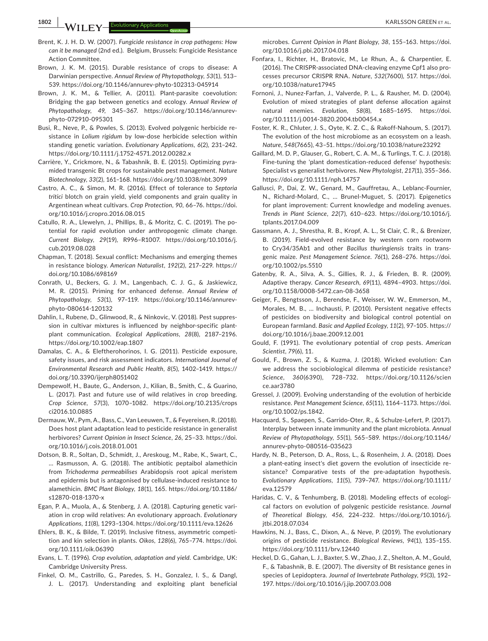**1802 |**  KARLSSON GREEN et al.

- Brent, K. J. H. D. W. (2007). *Fungicide resistance in crop pathogens: How can it be managed* (2nd ed.). Belgium, Brussels: Fungicide Resistance Action Committee.
- Brown, J. K. M. (2015). Durable resistance of crops to disease: A Darwinian perspective. *Annual Review of Phytopathology*, *53*(1), 513– 539. <https://doi.org/10.1146/annurev-phyto-102313-045914>
- Brown, J. K. M., & Tellier, A. (2011). Plant-parasite coevolution: Bridging the gap between genetics and ecology. *Annual Review of Phytopathology*, *49*, 345–367. [https://doi.org/10.1146/annurev](https://doi.org/10.1146/annurev-phyto-072910-095301)[phyto-072910-095301](https://doi.org/10.1146/annurev-phyto-072910-095301)
- Busi, R., Neve, P., & Powles, S. (2013). Evolved polygenic herbicide resistance in *Lolium rigidum* by low-dose herbicide selection within standing genetic variation. *Evolutionary Applications*, *6*(2), 231–242. <https://doi.org/10.1111/j.1752-4571.2012.00282.x>
- Carrière, Y., Crickmore, N., & Tabashnik, B. E. (2015). Optimizing pyramided transgenic Bt crops for sustainable pest management. *Nature Biotechnology*, *33*(2), 161–168.<https://doi.org/10.1038/nbt.3099>
- Castro, A. C., & Simon, M. R. (2016). Effect of tolerance to *Septoria tritici* blotch on grain yield, yield components and grain quality in Argentinean wheat cultivars. *Crop Protection*, *90*, 66–76. [https://doi.](https://doi.org/10.1016/j.cropro.2016.08.015) [org/10.1016/j.cropro.2016.08.015](https://doi.org/10.1016/j.cropro.2016.08.015)
- Catullo, R. A., Llewelyn, J., Phillips, B., & Moritz, C. C. (2019). The potential for rapid evolution under anthropogenic climate change. *Current Biology*, *29*(19), R996–R1007. [https://doi.org/10.1016/j.](https://doi.org/10.1016/j.cub.2019.08.028) [cub.2019.08.028](https://doi.org/10.1016/j.cub.2019.08.028)
- Chapman, T. (2018). Sexual conflict: Mechanisms and emerging themes in resistance biology. *American Naturalist*, *192*(2), 217–229. [https://](https://doi.org/10.1086/698169) [doi.org/10.1086/698169](https://doi.org/10.1086/698169)
- Conrath, U., Beckers, G. J. M., Langenbach, C. J. G., & Jaskiewicz, M. R. (2015). Priming for enhanced defense. *Annual Review of Phytopathology*, *53*(1), 97–119. [https://doi.org/10.1146/annurev](https://doi.org/10.1146/annurev-phyto-080614-120132)[phyto-080614-120132](https://doi.org/10.1146/annurev-phyto-080614-120132)
- Dahlin, I., Rubene, D., Glinwood, R., & Ninkovic, V. (2018). Pest suppression in cultivar mixtures is influenced by neighbor-specific plantplant communication. *Ecological Applications*, *28*(8), 2187–2196. <https://doi.org/10.1002/eap.1807>
- Damalas, C. A., & Eleftherohorinos, I. G. (2011). Pesticide exposure, safety issues, and risk assessment indicators. *International Journal of Environmental Research and Public Health*, *8*(5), 1402–1419. [https://](https://doi.org/10.3390/ijerph8051402) [doi.org/10.3390/ijerph8051402](https://doi.org/10.3390/ijerph8051402)
- Dempewolf, H., Baute, G., Anderson, J., Kilian, B., Smith, C., & Guarino, L. (2017). Past and future use of wild relatives in crop breeding. *Crop Science*, *57*(3), 1070–1082. [https://doi.org/10.2135/crops](https://doi.org/10.2135/cropsci2016.10.0885) [ci2016.10.0885](https://doi.org/10.2135/cropsci2016.10.0885)
- Dermauw, W., Pym, A., Bass, C., Van Leeuwen, T., & Feyereisen, R. (2018). Does host plant adaptation lead to pesticide resistance in generalist herbivores? *Current Opinion in Insect Science*, *26*, 25–33. [https://doi.](https://doi.org/10.1016/j.cois.2018.01.001) [org/10.1016/j.cois.2018.01.001](https://doi.org/10.1016/j.cois.2018.01.001)
- Dotson, B. R., Soltan, D., Schmidt, J., Areskoug, M., Rabe, K., Swart, C., … Rasmusson, A. G. (2018). The antibiotic peptaibol alamethicin from *Trichoderma permeabilises* Arabidopsis root apical meristem and epidermis but is antagonised by cellulase-induced resistance to alamethicin. *BMC Plant Biology*, *18*(1), 165. [https://doi.org/10.1186/](https://doi.org/10.1186/s12870-018-1370-x) [s12870-018-1370-x](https://doi.org/10.1186/s12870-018-1370-x)
- Egan, P. A., Muola, A., & Stenberg, J. A. (2018). Capturing genetic variation in crop wild relatives: An evolutionary approach. *Evolutionary Applications*, *11*(8), 1293–1304.<https://doi.org/10.1111/eva.12626>
- Ehlers, B. K., & Bilde, T. (2019). Inclusive fitness, asymmetric competition and kin selection in plants. *Oikos*, *128*(6), 765–774. [https://doi.](https://doi.org/10.1111/oik.06390) [org/10.1111/oik.06390](https://doi.org/10.1111/oik.06390)
- Evans, L. T. (1996). *Crop evolution, adaptation and yield*. Cambridge, UK: Cambridge University Press.
- Finkel, O. M., Castrillo, G., Paredes, S. H., Gonzalez, I. S., & Dangl, J. L. (2017). Understanding and exploiting plant beneficial

microbes. *Current Opinion in Plant Biology*, *38*, 155–163. [https://doi.](https://doi.org/10.1016/j.pbi.2017.04.018) [org/10.1016/j.pbi.2017.04.018](https://doi.org/10.1016/j.pbi.2017.04.018)

- Fonfara, I., Richter, H., Bratovic, M., Le Rhun, A., & Charpentier, E. (2016). The CRISPR-associated DNA-cleaving enzyme Cpf1 also processes precursor CRISPR RNA. *Nature*, *532*(7600), 517. [https://doi.](https://doi.org/10.1038/nature17945) [org/10.1038/nature17945](https://doi.org/10.1038/nature17945)
- Fornoni, J., Nunez-Farfan, J., Valverde, P. L., & Rausher, M. D. (2004). Evolution of mixed strategies of plant defense allocation against natural enemies. *Evolution*, *58*(8), 1685–1695. [https://doi.](https://doi.org/10.1111/j.0014-3820.2004.tb00454.x) [org/10.1111/j.0014-3820.2004.tb00454.x](https://doi.org/10.1111/j.0014-3820.2004.tb00454.x)
- Foster, K. R., Chluter, J. S., Oyte, K. Z. C., & Rakoff-Nahoum, S. (2017). The evolution of the host microbiome as an ecosystem on a leash. *Nature*, *548*(7665), 43–51.<https://doi.org/10.1038/nature23292>
- Gaillard, M. D. P., Glauser, G., Robert, C. A. M., & Turlings, T. C. J. (2018). Fine-tuning the 'plant domestication-reduced defense' hypothesis: Specialist vs generalist herbivores. *New Phytologist*, *217*(1), 355–366. <https://doi.org/10.1111/nph.14757>
- Gallusci, P., Dai, Z. W., Genard, M., Gauffretau, A., Leblanc-Fournier, N., Richard-Molard, C., … Brunel-Muguet, S. (2017). Epigenetics for plant improvement: Current knowledge and modeling avenues. *Trends in Plant Science*, *22*(7), 610–623. [https://doi.org/10.1016/j.](https://doi.org/10.1016/j.tplants.2017.04.009) [tplants.2017.04.009](https://doi.org/10.1016/j.tplants.2017.04.009)
- Gassmann, A. J., Shrestha, R. B., Kropf, A. L., St Clair, C. R., & Brenizer, B. (2019). Field-evolved resistance by western corn rootworm to Cry34/35Ab1 and other *Bacillus thuringiensis* traits in transgenic maize. *Pest Management Science*. *76*(1), 268–276. [https://doi.](https://doi.org/10.1002/ps.5510) [org/10.1002/ps.5510](https://doi.org/10.1002/ps.5510)
- Gatenby, R. A., Silva, A. S., Gillies, R. J., & Frieden, B. R. (2009). Adaptive therapy. *Cancer Research*, *69*(11), 4894–4903. [https://doi.](https://doi.org/10.1158/0008-5472.can-08-3658) [org/10.1158/0008-5472.can-08-3658](https://doi.org/10.1158/0008-5472.can-08-3658)
- Geiger, F., Bengtsson, J., Berendse, F., Weisser, W. W., Emmerson, M., Morales, M. B., … Inchausti, P. (2010). Persistent negative effects of pesticides on biodiversity and biological control potential on European farmland. *Basic and Applied Ecology*, *11*(2), 97–105. [https://](https://doi.org/10.1016/j.baae.2009.12.001) [doi.org/10.1016/j.baae.2009.12.001](https://doi.org/10.1016/j.baae.2009.12.001)
- Gould, F. (1991). The evolutionary potential of crop pests. *American Scientist*, *79*(6), 11.
- Gould, F., Brown, Z. S., & Kuzma, J. (2018). Wicked evolution: Can we address the sociobiological dilemma of pesticide resistance? *Science*, *360*(6390), 728–732. [https://doi.org/10.1126/scien](https://doi.org/10.1126/science.aar3780) [ce.aar3780](https://doi.org/10.1126/science.aar3780)
- Gressel, J. (2009). Evolving understanding of the evolution of herbicide resistance. *Pest Management Science*, *65*(11), 1164–1173. [https://doi.](https://doi.org/10.1002/ps.1842) [org/10.1002/ps.1842.](https://doi.org/10.1002/ps.1842)
- Hacquard, S., Spaepen, S., Garrido-Oter, R., & Schulze-Lefert, P. (2017). Interplay between innate immunity and the plant microbiota. *Annual Review of Phytopathology*, *55*(1), 565–589. [https://doi.org/10.1146/](https://doi.org/10.1146/annurev-phyto-080516-035623) [annurev-phyto-080516-035623](https://doi.org/10.1146/annurev-phyto-080516-035623)
- Hardy, N. B., Peterson, D. A., Ross, L., & Rosenheim, J. A. (2018). Does a plant-eating insect's diet govern the evolution of insecticide resistance? Comparative tests of the pre-adaptation hypothesis. *Evolutionary Applications*, *11*(5), 739–747. [https://doi.org/10.1111/](https://doi.org/10.1111/eva.12579) [eva.12579](https://doi.org/10.1111/eva.12579)
- Haridas, C. V., & Tenhumberg, B. (2018). Modeling effects of ecological factors on evolution of polygenic pesticide resistance. *Journal of Theoretical Biology*, *456*, 224–232. [https://doi.org/10.1016/j.](https://doi.org/10.1016/j.jtbi.2018.07.034) [jtbi.2018.07.034](https://doi.org/10.1016/j.jtbi.2018.07.034)
- Hawkins, N. J., Bass, C., Dixon, A., & Neve, P. (2019). The evolutionary origins of pesticide resistance. *Biological Reviews*, *94*(1), 135–155. <https://doi.org/10.1111/brv.12440>
- Heckel, D. G., Gahan, L. J., Baxter, S. W., Zhao, J. Z., Shelton, A. M., Gould, F., & Tabashnik, B. E. (2007). The diversity of Bt resistance genes in species of Lepidoptera. *Journal of Invertebrate Pathology*, *95*(3), 192– 197.<https://doi.org/10.1016/j.jip.2007.03.008>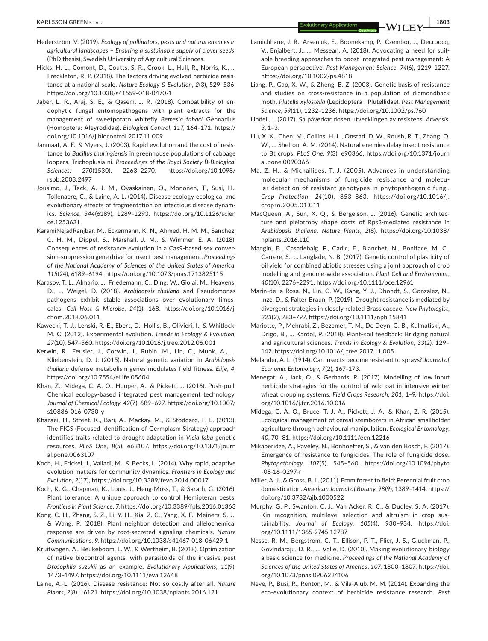- Hederström, V. (2019). *Ecology of pollinators, pests and natural enemies in agricultural landscapes – Ensuring a sustainable supply of clover seeds*. (PhD thesis), Swedish University of Agricultural Sciences.
- Hicks, H. L., Comont, D., Coutts, S. R., Crook, L., Hull, R., Norris, K., … Freckleton, R. P. (2018). The factors driving evolved herbicide resistance at a national scale. *Nature Ecology & Evolution*, *2*(3), 529–536. <https://doi.org/10.1038/s41559-018-0470-1>
- Jaber, L. R., Araj, S. E., & Qasem, J. R. (2018). Compatibility of endophytic fungal entomopathogens with plant extracts for the management of sweetpotato whitefly *Bemesia tabaci* Gennadius (Homoptera: Aleyrodidae). *Biological Control*, *117*, 164–171. [https://](https://doi.org/10.1016/j.biocontrol.2017.11.009) [doi.org/10.1016/j.biocontrol.2017.11.009](https://doi.org/10.1016/j.biocontrol.2017.11.009)
- Janmaat, A. F., & Myers, J. (2003). Rapid evolution and the cost of resistance to *Bacillus thuringiensis* in greenhouse populations of cabbage loopers, Trichoplusia ni. *Proceedings of the Royal Society B-Biological Sciences*, *270*(1530), 2263–2270. [https://doi.org/10.1098/](https://doi.org/10.1098/rspb.2003.2497) [rspb.2003.2497](https://doi.org/10.1098/rspb.2003.2497)
- Jousimo, J., Tack, A. J. M., Ovaskainen, O., Mononen, T., Susi, H., Tollenaere, C., & Laine, A. L. (2014). Disease ecology ecological and evolutionary effects of fragmentation on infectious disease dynamics. *Science*, *344*(6189), 1289–1293. [https://doi.org/10.1126/scien](https://doi.org/10.1126/science.1253621) [ce.1253621](https://doi.org/10.1126/science.1253621)
- KaramiNejadRanjbar, M., Eckermann, K. N., Ahmed, H. M. M., Sanchez, C. H. M., Dippel, S., Marshall, J. M., & Wimmer, E. A. (2018). Consequences of resistance evolution in a Cas9-based sex conversion-suppression gene drive for insect pest management. *Proceedings of the National Academy of Sciences of the United States of America*, *115*(24), 6189–6194. <https://doi.org/10.1073/pnas.1713825115>
- Karasov, T. L., Almario, J., Friedemann, C., Ding, W., Giolai, M., Heavens, D., … Weigel, D. (2018). *Arabidopsis thaliana* and Pseudomonas pathogens exhibit stable associations over evolutionary timescales. *Cell Host & Microbe*, *24*(1), 168. [https://doi.org/10.1016/j.](https://doi.org/10.1016/j.chom.2018.06.011) [chom.2018.06.011](https://doi.org/10.1016/j.chom.2018.06.011)
- Kawecki, T. J., Lenski, R. E., Ebert, D., Hollis, B., Olivieri, I., & Whitlock, M. C. (2012). Experimental evolution. *Trends in Ecology & Evolution*, *27*(10), 547–560.<https://doi.org/10.1016/j.tree.2012.06.001>
- Kerwin, R., Feusier, J., Corwin, J., Rubin, M., Lin, C., Muok, A., … Kliebenstein, D. J. (2015). Natural genetic variation in *Arabidopsis thaliana* defense metabolism genes modulates field fitness. *Elife*, *4*. <https://doi.org/10.7554/eLife.05604>
- Khan, Z., Midega, C. A. O., Hooper, A., & Pickett, J. (2016). Push-pull: Chemical ecology-based integrated pest management technology. *Journal of Chemical Ecology*, *42*(7), 689–697. [https://doi.org/10.1007/](https://doi.org/10.1007/s10886-016-0730-y) [s10886-016-0730-y](https://doi.org/10.1007/s10886-016-0730-y)
- Khazaei, H., Street, K., Bari, A., Mackay, M., & Stoddard, F. L. (2013). The FIGS (Focused Identification of Germplasm Strategy) approach identifies traits related to drought adaptation in *Vicia faba* genetic resources. *PLoS One*, *8*(5), e63107. [https://doi.org/10.1371/journ](https://doi.org/10.1371/journal.pone.0063107) [al.pone.0063107](https://doi.org/10.1371/journal.pone.0063107)
- Koch, H., Frickel, J., Valiadi, M., & Becks, L. (2014). Why rapid, adaptive evolution matters for community dynamics. *Frontiers in Ecology and Evolution*, *2*(17),<https://doi.org/10.3389/fevo.2014.00017>
- Koch, K. G., Chapman, K., Louis, J., Heng-Moss, T., & Sarath, G. (2016). Plant tolerance: A unique approach to control Hemipteran pests. *Frontiers in Plant Science*, *7*,<https://doi.org/10.3389/fpls.2016.01363>
- Kong, C. H., Zhang, S. Z., Li, Y. H., Xia, Z. C., Yang, X. F., Meiners, S. J., & Wang, P. (2018). Plant neighbor detection and allelochemical response are driven by root-secreted signaling chemicals. *Nature Communications*, *9*. <https://doi.org/10.1038/s41467-018-06429-1>
- Kruitwagen, A., Beukeboom, L. W., & Wertheim, B. (2018). Optimization of native biocontrol agents, with parasitoids of the invasive pest *Drosophila suzukii* as an example. *Evolutionary Applications*, *11*(9), 1473–1497. <https://doi.org/10.1111/eva.12648>
- Laine, A.-L. (2016). Disease resistance: Not so costly after all. *Nature Plants*, *2*(8), 16121.<https://doi.org/10.1038/nplants.2016.121>
- Lamichhane, J. R., Arseniuk, E., Boonekamp, P., Czembor, J., Decroocq, V., Enjalbert, J., … Messean, A. (2018). Advocating a need for suitable breeding approaches to boost integrated pest management: A European perspective. *Pest Management Science*, *74*(6), 1219–1227. <https://doi.org/10.1002/ps.4818>
- Liang, P., Gao, X. W., & Zheng, B. Z. (2003). Genetic basis of resistance and studies on cross-resistance in a population of diamondback moth, *Plutella xylostella* (Lepidoptera : Plutellidae). *Pest Management Science*, *59*(11), 1232–1236.<https://doi.org/10.1002/ps.760>
- Lindell, I. (2017). Så påverkar dosen utvecklingen av resistens. *Arvensis*, *3*, 1–3.
- Liu, X. X., Chen, M., Collins, H. L., Onstad, D. W., Roush, R. T., Zhang, Q. W., … Shelton, A. M. (2014). Natural enemies delay insect resistance to Bt crops. *PLoS One*, *9*(3), e90366. [https://doi.org/10.1371/journ](https://doi.org/10.1371/journal.pone.0090366) [al.pone.0090366](https://doi.org/10.1371/journal.pone.0090366)
- Ma, Z. H., & Michailides, T. J. (2005). Advances in understanding molecular mechanisms of fungicide resistance and molecular detection of resistant genotypes in phytopathogenic fungi. *Crop Protection*, *24*(10), 853–863. [https://doi.org/10.1016/j.](https://doi.org/10.1016/j.cropro.2005.01.011) [cropro.2005.01.011](https://doi.org/10.1016/j.cropro.2005.01.011)
- MacQueen, A., Sun, X. Q., & Bergelson, J. (2016). Genetic architecture and pleiotropy shape costs of Rps2-mediated resistance in *Arabidopsis thaliana*. *Nature Plants*, *2*(8). [https://doi.org/10.1038/](https://doi.org/10.1038/nplants.2016.110) [nplants.2016.110](https://doi.org/10.1038/nplants.2016.110)
- Mangin, B., Casadebaig, P., Cadic, E., Blanchet, N., Boniface, M. C., Carrere, S., … Langlade, N. B. (2017). Genetic control of plasticity of oil yield for combined abiotic stresses using a joint approach of crop modelling and genome-wide association. *Plant Cell and Environment*, *40*(10), 2276–2291. <https://doi.org/10.1111/pce.12961>
- Marin-de la Rosa, N., Lin, C. W., Kang, Y. J., Dhondt, S., Gonzalez, N., Inze, D., & Falter-Braun, P. (2019). Drought resistance is mediated by divergent strategies in closely related Brassicaceae. *New Phytologist*, *223*(2), 783–797. <https://doi.org/10.1111/nph.15841>
- Mariotte, P., Mehrabi, Z., Bezemer, T. M., De Deyn, G. B., Kulmatiski, A., Drigo, B., … Kardol, P. (2018). Plant–soil feedback: Bridging natural and agricultural sciences. *Trends in Ecology & Evolution*, *33*(2), 129– 142.<https://doi.org/10.1016/j.tree.2017.11.005>
- Melander, A. L. (1914). Can insects become resistant to sprays? *Journal of Economic Entomology*, *7*(2), 167–173.
- Menegat, A., Jack, O., & Gerhards, R. (2017). Modelling of low input herbicide strategies for the control of wild oat in intensive winter wheat cropping systems. *Field Crops Research*, *201*, 1–9. [https://doi.](https://doi.org/10.1016/j.fcr.2016.10.016) [org/10.1016/j.fcr.2016.10.016](https://doi.org/10.1016/j.fcr.2016.10.016)
- Midega, C. A. O., Bruce, T. J. A., Pickett, J. A., & Khan, Z. R. (2015). Ecological management of cereal stemborers in African smallholder agriculture through behavioural manipulation. *Ecological Entomology*, *40*, 70–81. <https://doi.org/10.1111/een.12216>
- Mikaberidze, A., Paveley, N., Bonhoeffer, S., & van den Bosch, F. (2017). Emergence of resistance to fungicides: The role of fungicide dose. *Phytopathology*, *107*(5), 545–560. [https://doi.org/10.1094/phyto](https://doi.org/10.1094/phyto-08-16-0297-r) [-08-16-0297-r](https://doi.org/10.1094/phyto-08-16-0297-r)
- Miller, A. J., & Gross, B. L. (2011). From forest to field: Perennial fruit crop domestication. *American Journal of Botany*, *98*(9), 1389–1414. [https://](https://doi.org/10.3732/ajb.1000522) [doi.org/10.3732/ajb.1000522](https://doi.org/10.3732/ajb.1000522)
- Murphy, G. P., Swanton, C. J., Van Acker, R. C., & Dudley, S. A. (2017). Kin recognition, multilevel selection and altruism in crop sustainability. *Journal of Ecology*, *105*(4), 930–934. [https://doi.](https://doi.org/10.1111/1365-2745.12787) [org/10.1111/1365-2745.12787](https://doi.org/10.1111/1365-2745.12787)
- Nesse, R. M., Bergstrom, C. T., Ellison, P. T., Flier, J. S., Gluckman, P., Govindaraju, D. R., … Valle, D. (2010). Making evolutionary biology a basic science for medicine. *Proceedings of the National Academy of Sciences of the United States of America*, *107*, 1800–1807. [https://doi.](https://doi.org/10.1073/pnas.0906224106) [org/10.1073/pnas.0906224106](https://doi.org/10.1073/pnas.0906224106)
- Neve, P., Busi, R., Renton, M., & Vila-Aiub, M. M. (2014). Expanding the eco-evolutionary context of herbicide resistance research. *Pest*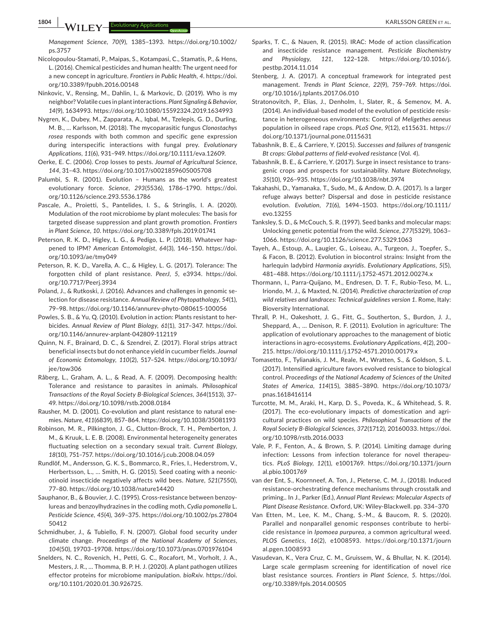*Management Science*, *70*(9), 1385–1393. [https://doi.org/10.1002/](https://doi.org/10.1002/ps.3757) [ps.3757](https://doi.org/10.1002/ps.3757)

- Nicolopoulou-Stamati, P., Maipas, S., Kotampasi, C., Stamatis, P., & Hens, L. (2016). Chemical pesticides and human health: The urgent need for a new concept in agriculture. *Frontiers in Public Health*, *4*. [https://doi.](https://doi.org/10.3389/fpubh.2016.00148) [org/10.3389/fpubh.2016.00148](https://doi.org/10.3389/fpubh.2016.00148)
- Ninkovic, V., Rensing, M., Dahlin, I., & Markovic, D. (2019). Who is my neighbor? Volatile cues in plant interactions. *Plant Signaling & Behavior*, *14*(9), 1634993.<https://doi.org/10.1080/15592324.2019.1634993>
- Nygren, K., Dubey, M., Zapparata, A., Iqbal, M., Tzelepis, G. D., Durling, M. B., … Karlsson, M. (2018). The mycoparasitic fungus *Clonostachys rosea* responds with both common and specific gene expression during interspecific interactions with fungal prey. *Evolutionary Applications*, *11*(6), 931–949. [https://doi.org/10.1111/eva.12609.](https://doi.org/10.1111/eva.12609)
- Oerke, E. C. (2006). Crop losses to pests. *Journal of Agricultural Science*, *144*, 31–43.<https://doi.org/10.1017/s0021859605005708>
- Palumbi, S. R. (2001). Evolution Humans as the world's greatest evolutionary force. *Science*, *293*(5536), 1786–1790. [https://doi.](https://doi.org/10.1126/science.293.5536.1786) [org/10.1126/science.293.5536.1786](https://doi.org/10.1126/science.293.5536.1786)
- Pascale, A., Proietti, S., Pantelides, I. S., & Stringlis, I. A. (2020). Modulation of the root microbiome by plant molecules: The basis for targeted disease suppression and plant growth promotion. *Frontiers in Plant Science*, *10*. <https://doi.org/10.3389/fpls.2019.01741>
- Peterson, R. K. D., Higley, L. G., & Pedigo, L. P. (2018). Whatever happened to IPM? *American Entomologist*, *64*(3), 146–150. [https://doi.](https://doi.org/10.1093/ae/tmy049) [org/10.1093/ae/tmy049](https://doi.org/10.1093/ae/tmy049)
- Peterson, R. K. D., Varella, A. C., & Higley, L. G. (2017). Tolerance: The forgotten child of plant resistance. *PeerJ*, *5*, e3934. [https://doi.](https://doi.org/10.7717/Peerj.3934) [org/10.7717/Peerj.3934](https://doi.org/10.7717/Peerj.3934)
- Poland, J., & Rutkoski, J. (2016). Advances and challenges in genomic selection for disease resistance. *Annual Review of Phytopathology*, *54*(1), 79–98. <https://doi.org/10.1146/annurev-phyto-080615-100056>
- Powles, S. B., & Yu, Q. (2010). Evolution in action: Plants resistant to herbicides. *Annual Review of Plant Biology*, *61*(1), 317–347. [https://doi.](https://doi.org/10.1146/annurev-arplant-042809-112119) [org/10.1146/annurev-arplant-042809-112119](https://doi.org/10.1146/annurev-arplant-042809-112119)
- Quinn, N. F., Brainard, D. C., & Szendrei, Z. (2017). Floral strips attract beneficial insects but do not enhance yield in cucumber fields. *Journal of Economic Entomology*, *110*(2), 517–524. [https://doi.org/10.1093/](https://doi.org/10.1093/jee/tow306) [jee/tow306](https://doi.org/10.1093/jee/tow306)
- Råberg, L., Graham, A. L., & Read, A. F. (2009). Decomposing health: Tolerance and resistance to parasites in animals. *Philosophical Transactions of the Royal Society B-Biological Sciences*, *364*(1513), 37– 49.<https://doi.org/10.1098/rstb.2008.0184>
- Rausher, M. D. (2001). Co-evolution and plant resistance to natural enemies. *Nature*, *411*(6839), 857–864. <https://doi.org/10.1038/35081193>
- Robinson, M. R., Pilkington, J. G., Clutton-Brock, T. H., Pemberton, J. M., & Kruuk, L. E. B. (2008). Environmental heterogeneity generates fluctuating selection on a secondary sexual trait. *Current Biology*, *18*(10), 751–757.<https://doi.org/10.1016/j.cub.2008.04.059>
- Rundlöf, M., Andersson, G. K. S., Bommarco, R., Fries, I., Hederstrom, V., Herbertsson, L., … Smith, H. G. (2015). Seed coating with a neonicotinoid insecticide negatively affects wild bees. *Nature*, *521*(7550), 77–80. <https://doi.org/10.1038/nature14420>
- Sauphanor, B., & Bouvier, J. C. (1995). Cross-resistance between benzoylureas and benzoylhydrazines in the codling moth, *Cydia pomonella* L. *Pesticide Science*, *45*(4), 369–375. [https://doi.org/10.1002/ps.27804](https://doi.org/10.1002/ps.2780450412) [50412](https://doi.org/10.1002/ps.2780450412)
- Schmidhuber, J., & Tubiello, F. N. (2007). Global food security under climate change. *Proceedings of the National Academy of Sciences*, *104*(50), 19703–19708.<https://doi.org/10.1073/pnas.0701976104>
- Snelders, N. C., Rovenich, H., Petti, G. C., Rocafort, M., Vorholt, J. A., Mesters, J. R., … Thomma, B. P. H. J. (2020). A plant pathogen utilizes effector proteins for microbiome manipulation. *bioRxiv*. [https://doi.](https://doi.org/10.1101/2020.01.30.926725) [org/10.1101/2020.01.30.926725](https://doi.org/10.1101/2020.01.30.926725).
- Sparks, T. C., & Nauen, R. (2015). IRAC: Mode of action classification and insecticide resistance management. *Pesticide Biochemistry and Physiology*, *121*, 122–128. [https://doi.org/10.1016/j.](https://doi.org/10.1016/j.pestbp.2014.11.014) [pestbp.2014.11.014](https://doi.org/10.1016/j.pestbp.2014.11.014)
- Stenberg, J. A. (2017). A conceptual framework for integrated pest management. *Trends in Plant Science*, *22*(9), 759–769. [https://doi.](https://doi.org/10.1016/j.tplants.2017.06.010) [org/10.1016/j.tplants.2017.06.010](https://doi.org/10.1016/j.tplants.2017.06.010)
- Stratonovitch, P., Elias, J., Denholm, I., Slater, R., & Semenov, M. A. (2014). An individual-based model of the evolution of pesticide resistance in heterogeneous environments: Control of *Meligethes aeneus* population in oilseed rape crops. *PLoS One*, *9*(12), e115631. [https://](https://doi.org/10.1371/journal.pone.0115631) [doi.org/10.1371/journal.pone.0115631](https://doi.org/10.1371/journal.pone.0115631)
- Tabashnik, B. E., & Carriere, Y. (2015). *Successes and failures of transgenic Bt crops: Global patterns of field-evolved resistance* (Vol. *4*).
- Tabashnik, B. E., & Carriere, Y. (2017). Surge in insect resistance to transgenic crops and prospects for sustainability. *Nature Biotechnology*, *35*(10), 926–935.<https://doi.org/10.1038/nbt.3974>
- Takahashi, D., Yamanaka, T., Sudo, M., & Andow, D. A. (2017). Is a larger refuge always better? Dispersal and dose in pesticide resistance evolution. *Evolution*, *71*(6), 1494–1503. [https://doi.org/10.1111/](https://doi.org/10.1111/evo.13255) [evo.13255](https://doi.org/10.1111/evo.13255)
- Tanksley, S. D., & McCouch, S. R. (1997). Seed banks and molecular maps: Unlocking genetic potential from the wild. *Science*, *277*(5329), 1063– 1066. <https://doi.org/10.1126/science.277.5329.1063>
- Tayeh, A., Estoup, A., Laugier, G., Loiseau, A., Turgeon, J., Toepfer, S., & Facon, B. (2012). Evolution in biocontrol strains: Insight from the harlequin ladybird *Harmonia axyridis*. *Evolutionary Applications*, *5*(5), 481–488.<https://doi.org/10.1111/j.1752-4571.2012.00274.x>
- Thormann, I., Parra-Quijano, M., Endresen, D. T. F., Rubio-Teso, M. L., Iriondo, M. J., & Maxted, N. (2014). *Predictive characterization of crop wild relatives and landraces: Technical guidelines version 1*. Rome, Italy: Bioversity International.
- Thrall, P. H., Oakeshott, J. G., Fitt, G., Southerton, S., Burdon, J. J., Sheppard, A., … Denison, R. F. (2011). Evolution in agriculture: The application of evolutionary approaches to the management of biotic interactions in agro-ecosystems. *Evolutionary Applications*, *4*(2), 200– 215.<https://doi.org/10.1111/j.1752-4571.2010.00179.x>
- Tomasetto, F., Tylianakis, J. M., Reale, M., Wratten, S., & Goldson, S. L. (2017). Intensified agriculture favors evolved resistance to biological control. *Proceedings of the National Academy of Sciences of the United States of America*, *114*(15), 3885–3890. [https://doi.org/10.1073/](https://doi.org/10.1073/pnas.1618416114) [pnas.1618416114](https://doi.org/10.1073/pnas.1618416114)
- Turcotte, M. M., Araki, H., Karp, D. S., Poveda, K., & Whitehead, S. R. (2017). The eco-evolutionary impacts of domestication and agricultural practices on wild species. *Philosophical Transactions of the Royal Society B-Biological Sciences*, *372*(1712), 20160033. [https://doi.](https://doi.org/10.1098/rstb.2016.0033) [org/10.1098/rstb.2016.0033](https://doi.org/10.1098/rstb.2016.0033)
- Vale, P. F., Fenton, A., & Brown, S. P. (2014). Limiting damage during infection: Lessons from infection tolerance for novel therapeutics. *PLoS Biology*, *12*(1), e1001769. [https://doi.org/10.1371/journ](https://doi.org/10.1371/journal.pbio.1001769) [al.pbio.1001769](https://doi.org/10.1371/journal.pbio.1001769)
- van der Ent, S., Koornneef, A. Ton, J., Pieterse, C. M. J., (2018). Induced resistance-orchestrating defence mechanisms through crosstalk and priming.. In J., Parker (Ed.), *Annual Plant Reviews: Molecular Aspects of Plant Disease Resistance*. Oxford, UK: Wiley-Blackwell. pp. 334–370
- Van Etten, M., Lee, K. M., Chang, S.-M., & Baucom, R. S. (2020). Parallel and nonparallel genomic responses contribute to herbicide resistance in *Ipomoea purpurea*, a common agricultural weed. *PLOS Genetics*, *16*(2), e1008593. [https://doi.org/10.1371/journ](https://doi.org/10.1371/journal.pgen.1008593) [al.pgen.1008593](https://doi.org/10.1371/journal.pgen.1008593)
- Vasudevan, K., Vera Cruz, C. M., Gruissem, W., & Bhullar, N. K. (2014). Large scale germplasm screening for identification of novel rice blast resistance sources. *Frontiers in Plant Science*, *5*. [https://doi.](https://doi.org/10.3389/fpls.2014.00505) [org/10.3389/fpls.2014.00505](https://doi.org/10.3389/fpls.2014.00505)